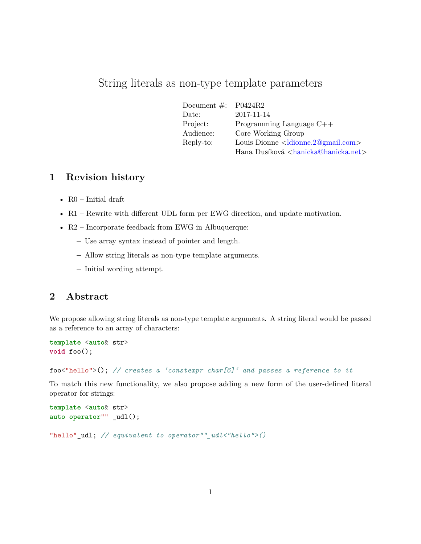# String literals as non-type template parameters

| Document $\#$ : | P0424R2                                                   |
|-----------------|-----------------------------------------------------------|
| Date:           | 2017-11-14                                                |
| Project:        | Programming Language $C++$                                |
| Audience:       | Core Working Group                                        |
| Reply-to:       | Louis Dionne $\langle$ ldionne.2@gmail.com>               |
|                 | Hana Dusíková <hanicka@hanicka.net></hanicka@hanicka.net> |

# **1 Revision history**

- R0 Initial draft
- R1 Rewrite with different UDL form per EWG direction, and update motivation.
- R2 Incorporate feedback from EWG in Albuquerque:
	- **–** Use array syntax instead of pointer and length.
	- **–** Allow string literals as non-type template arguments.
	- **–** Initial wording attempt.

#### **2 Abstract**

We propose allowing string literals as non-type template arguments. A string literal would be passed as a reference to an array of characters:

```
template <auto& str>
void foo();
```
foo<"hello">(); *// creates a 'constexpr char[6]' and passes a reference to it*

To match this new functionality, we also propose adding a new form of the user-defined literal operator for strings:

```
template <auto& str>
auto operator"" _udl();
"hello"_udl; // equivalent to operator""_udl<"hello">()
```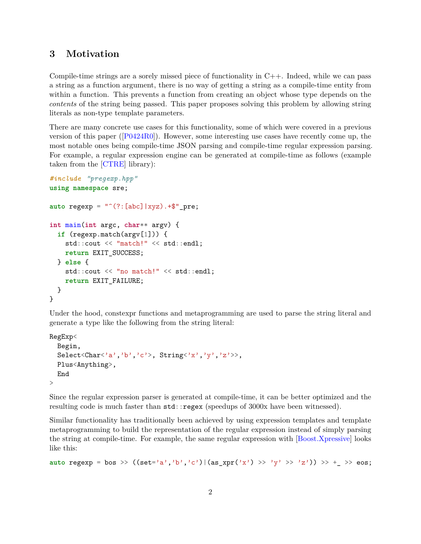# **3 Motivation**

Compile-time strings are a sorely missed piece of functionality in C++. Indeed, while we can pass a string as a function argument, there is no way of getting a string as a compile-time entity from within a function. This prevents a function from creating an object whose type depends on the *contents* of the string being passed. This paper proposes solving this problem by allowing string literals as non-type template parameters.

There are many concrete use cases for this functionality, some of which were covered in a previous version of this paper ([\[P0424R0\]](#page-5-0)). However, some interesting use cases have recently come up, the most notable ones being compile-time JSON parsing and compile-time regular expression parsing. For example, a regular expression engine can be generated at compile-time as follows (example taken from the [\[CTRE\]](#page-5-1) library):

```
#include "pregexp.hpp"
using namespace sre;
auto regexp = "\hat{ }(?:[abc]|xyz).+$"_pre;
int main(int argc, char** argv) {
  if (regexp.match(argv[1])) {
    std::cout << "match!" << std::endl;
    return EXIT_SUCCESS;
  } else {
    std::cout << "no match!" << std::endl;
    return EXIT_FAILURE;
 }
}
```
Under the hood, constexpr functions and metaprogramming are used to parse the string literal and generate a type like the following from the string literal:

```
RegExp<
  Begin,
  Select<Char<'a','b','c'>, String<'x','y','z'>>,
  Plus<Anything>,
  End
\rightarrow
```
Since the regular expression parser is generated at compile-time, it can be better optimized and the resulting code is much faster than  $std$ ::regex (speedups of 3000x have been witnessed).

Similar functionality has traditionally been achieved by using expression templates and template metaprogramming to build the representation of the regular expression instead of simply parsing the string at compile-time. For example, the same regular expression with [\[Boost.Xpressive\]](#page-5-2) looks like this:

```
auto regexp = bos >> ((set='a', 'b', 'c')|(as xpr('x') >> 'y' >> 'z')) >> + >> eos;
```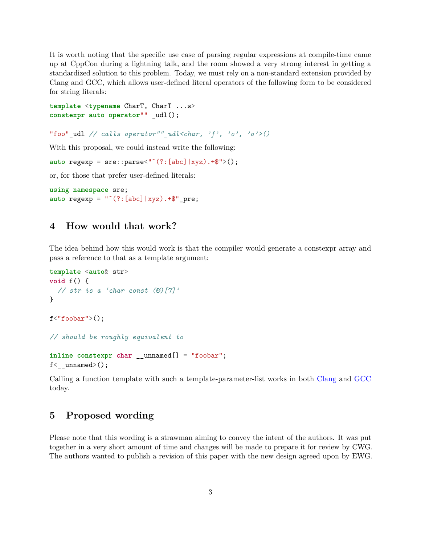It is worth noting that the specific use case of parsing regular expressions at compile-time came up at CppCon during a lightning talk, and the room showed a very strong interest in getting a standardized solution to this problem. Today, we must rely on a non-standard extension provided by Clang and GCC, which allows user-defined literal operators of the following form to be considered for string literals:

```
template <typename CharT, CharT ...s>
constexpr auto operator"" _udl();
```

```
"foo" udl // calls operator"" udl<char, 'f', 'o', 'o'>()
```
With this proposal, we could instead write the following:

```
auto regexp = \text{src}: \text{parse}^{\text{(1)}(?:[abc][xyz). +\$">}();
```
or, for those that prefer user-defined literals:

```
using namespace sre;
auto regexp = "^(?:[abc]|xyz) . + $"pre;
```
#### **4 How would that work?**

The idea behind how this would work is that the compiler would generate a constexpr array and pass a reference to that as a template argument:

```
template <auto& str>
void f() {
  // str is a 'char const (&)[7]'
}
f<"foobar">();
// should be roughly equivalent to
inline constexpr char __unnamed[] = "foobar";
f < _ unnamed > ();
```
Calling a function template with such a template-parameter-list works in both [Clang](https://wandbox.org/permlink/zOOIb472ak9nBNMt) and [GCC](https://wandbox.org/permlink/8zpg3CLqzi9VTiuE) today.

### **5 Proposed wording**

Please note that this wording is a strawman aiming to convey the intent of the authors. It was put together in a very short amount of time and changes will be made to prepare it for review by CWG. The authors wanted to publish a revision of this paper with the new design agreed upon by EWG.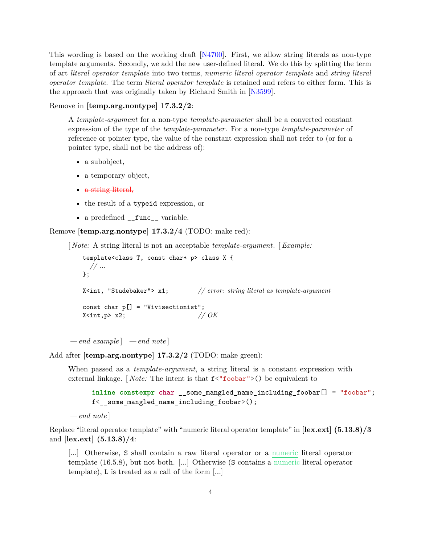This wording is based on the working draft [\[N4700\]](#page-5-3). First, we allow string literals as non-type template arguments. Secondly, we add the new user-defined literal. We do this by splitting the term of art *literal operator template* into two terms, *numeric literal operator template* and *string literal operator template*. The term *literal operator template* is retained and refers to either form. This is the approach that was originally taken by Richard Smith in [\[N3599\]](#page-5-4).

Remove in **[temp.arg.nontype] 17.3.2/2**:

A *template-argument* for a non-type *template-parameter* shall be a converted constant expression of the type of the *template-parameter*. For a non-type *template-parameter* of reference or pointer type, the value of the constant expression shall not refer to (or for a pointer type, shall not be the address of):

- a subobject,
- a temporary object,
- a string literal,
- the result of a typeid expression, or
- a predefined \_\_func\_\_ variable.

Remove **[temp.arg.nontype] 17.3.2/4** (TODO: make red):

[ *Note:* A string literal is not an acceptable *template-argument*. [*Example:*

```
template<class T, const char* p> class X {
 // ...
};
X<int, "Studebaker"> x1; // error: string literal as template-argument
const char p[] = "Vivisectionist";
X \leq int, p > x2; // OK
```
*— end example* ] *— end note* ]

Add after **[temp.arg.nontype] 17.3.2/2** (TODO: make green):

When passed as a *template-argument*, a string literal is a constant expression with external linkage. [*Note:* The intent is that  $f$ <"foobar">() be equivalent to

```
inline constexpr char __some_mangled_name_including_foobar[] = "foobar";
f<__some_mangled_name_including_foobar>();
```

```
— end note ]
```
Replace "literal operator template" with "numeric literal operator template" in **[lex.ext] (5.13.8)/3** and **[lex.ext] (5.13.8)/4**:

[...] Otherwise, S shall contain a raw literal operator or a numeric literal operator template (16.5.8), but not both. [...] Otherwise (S contains a numeric literal operator template), L is treated as a call of the form [...]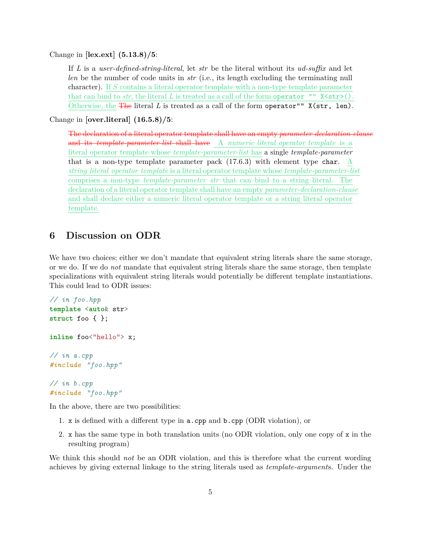Change in **[lex.ext] (5.13.8)/5**:

If *L* is a *user-defined-string-literal*, let *str* be the literal without its *ud-suffix* and let *len* be the number of code units in *str* (i.e., its length excluding the terminating null character). If *S* contains a literal operator template with a non-type template parameter that can bind to  $str$ , the literal  $L$  is treated as a call of the form operator ""  $X \text{str} > ()$ . Otherwise, the The literal *L* is treated as a call of the form operator"" X(str, len).

Change in **[over.literal] (16.5.8)/5**:

The declaration of a literal operator template shall have an empty *parameter-declaration-clause* and its *template-parameter-list* shall have A *numeric literal operator template* is a literal operator template whose *template-parameter-list* has a single *template-parameter* that is a non-type template parameter pack (17.6.3) with element type char. A *string literal operator template* is a literal operator template whose *template-parameter-list* comprises a non-type *template-parameter str* that can bind to a string literal. The declaration of a literal operator template shall have an empty *parameter-declaration-clause* and shall declare either a numeric literal operator template or a string literal operator template.

#### **6 Discussion on ODR**

We have two choices; either we don't mandate that equivalent string literals share the same storage, or we do. If we do *not* mandate that equivalent string literals share the same storage, then template specializations with equivalent string literals would potentially be different template instantiations. This could lead to ODR issues:

```
// in foo.hpp
template <auto& str>
struct foo { };
inline foo<"hello"> x;
// in a.cpp
#include "foo.hpp"
// in b.cpp
#include "foo.hpp"
```
In the above, there are two possibilities:

- 1. x is defined with a different type in a.cpp and b.cpp (ODR violation), or
- 2. x has the same type in both translation units (no ODR violation, only one copy of x in the resulting program)

We think this should *not* be an ODR violation, and this is therefore what the current wording achieves by giving external linkage to the string literals used as *template-argument*s. Under the